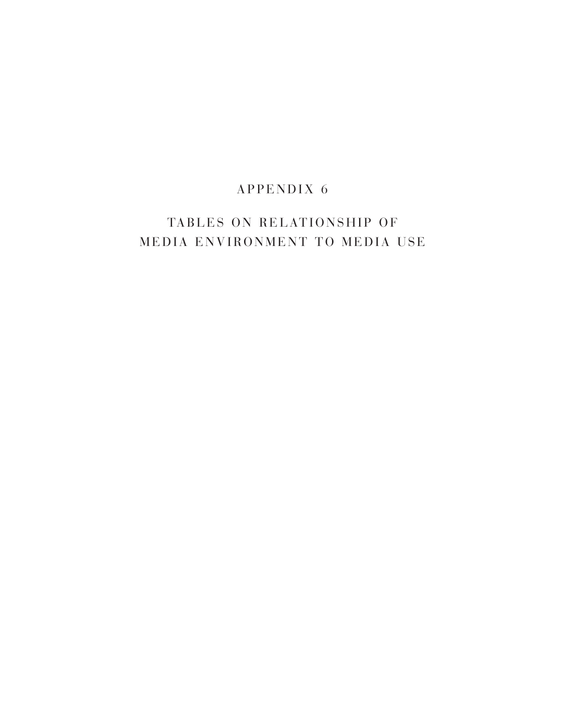## $APPENDIX 6$

# TABLES ON RELATIONSHIP OF MEDIA ENVIRONMENT TO MEDIA USE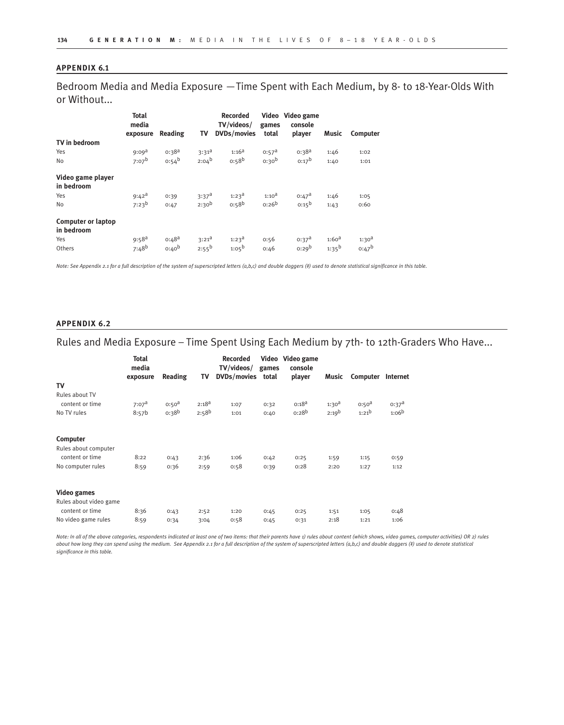### **APPENDIX 6.1**

Bedroom Media and Media Exposure —Time Spent with Each Medium, by 8- to 18-Year-Olds With or Without...

|                                         | <b>Total</b><br>media<br>exposure | Reading                  | TV                           | <b>Recorded</b><br>TV/videos/<br><b>DVDs/movies</b> | games<br>total    | Video Video game<br>console<br>player | Music                    | Computer                 |
|-----------------------------------------|-----------------------------------|--------------------------|------------------------------|-----------------------------------------------------|-------------------|---------------------------------------|--------------------------|--------------------------|
| TV in bedroom                           |                                   |                          |                              |                                                     |                   |                                       |                          |                          |
| Yes                                     | 9:09 <sup>d</sup>                 | $0:38^{a}$               | $3:31^{a}$                   | $1:16^{a}$                                          | $0:57^a$          | $0:38^{a}$                            | 1:46                     | 1:02                     |
| No                                      | $7:07^{b}$                        | $0:54^{b}$               | $2:04^{b}$                   | 0.58 <sup>b</sup>                                   | 0:30 <sup>b</sup> | $0:17^{b}$                            | 1:40                     | 1:01                     |
| Video game player<br>in bedroom         |                                   |                          |                              |                                                     |                   |                                       |                          |                          |
| Yes                                     | $9:42^a$                          | 0:39                     | $3:37^a$                     | $1:23^{\text{d}}$                                   | $1:10^{d}$        | $0:47^{\text{a}}$                     | 1:46                     | 1:05                     |
| No                                      | $7:23^{b}$                        | 0:47                     | $2:30^{b}$                   | $0:58^{b}$                                          | $0:26^{b}$        | $0:15^{b}$                            | 1:43                     | 0:60                     |
| <b>Computer or laptop</b><br>in bedroom |                                   |                          |                              |                                                     |                   |                                       |                          |                          |
| Yes<br>Others                           | $9:58^{a}$<br>$7:48^{b}$          | $0:48^{a}$<br>$0:40^{b}$ | $3:21^{\circ}$<br>$2:55^{b}$ | $1:23^{\text{a}}$<br>$1:05^{b}$                     | 0:56<br>0:46      | $0:37^a$<br>$0:29^{b}$                | $1:60^{a}$<br>$1:35^{b}$ | $1:30^{d}$<br>$0:47^{b}$ |

*Note: See Appendix 2.1 for a full description of the system of superscripted letters (a,b,c) and double daggers (‡) used to denote statistical significance in this table.* 

#### **APPENDIX 6.2**

### Rules and Media Exposure – Time Spent Using Each Medium by 7th- to 12th-Graders Who Have...

|                        | <b>Total</b><br>media<br>exposure | Reading           | TV         | <b>Recorded</b><br>TV/videos/<br>DVDs/movies | games<br>total | Video Video game<br>console<br>player | Music             | Computer          | Internet          |
|------------------------|-----------------------------------|-------------------|------------|----------------------------------------------|----------------|---------------------------------------|-------------------|-------------------|-------------------|
| TV                     |                                   |                   |            |                                              |                |                                       |                   |                   |                   |
| Rules about TV         |                                   |                   |            |                                              |                |                                       |                   |                   |                   |
| content or time        | 7:07 <sup>d</sup>                 | 0:50 <sup>d</sup> | $2:18^{a}$ | 1:07                                         | 0:32           | $0:18^{a}$                            | 1:30 <sup>d</sup> | 0:50 <sup>d</sup> | 0:37 <sup>a</sup> |
| No TV rules            | 8:57b                             | $0:38^{b}$        | $2:58^{b}$ | 1:01                                         | 0:40           | $0:28^{b}$                            | $2:19^{b}$        | $1:21^{b}$        | $1:06^{b}$        |
| Computer               |                                   |                   |            |                                              |                |                                       |                   |                   |                   |
| Rules about computer   |                                   |                   |            |                                              |                |                                       |                   |                   |                   |
| content or time        | 8:22                              | 0:43              | 2:36       | 1:06                                         | 0:42           | 0:25                                  | 1:59              | 1:15              | 0:59              |
| No computer rules      | 8:59                              | 0:36              | 2:59       | 0:58                                         | 0:39           | 0:28                                  | 2:20              | 1:27              | 1:12              |
| <b>Video games</b>     |                                   |                   |            |                                              |                |                                       |                   |                   |                   |
| Rules about video game |                                   |                   |            |                                              |                |                                       |                   |                   |                   |
| content or time        | 8:36                              | 0:43              | 2:52       | 1:20                                         | 0:45           | 0:25                                  | 1:51              | 1:05              | 0:48              |
| No video game rules    | 8:59                              | 0:34              | 3:04       | 0:58                                         | 0:45           | 0:31                                  | 2:18              | 1:21              | 1:06              |

*Note: In all of the above categories, respondents indicated at least one of two items: that their parents have 1) rules about content (which shows, video games, computer activities) OR 2) rules about how long they can spend using the medium. See Appendix 2.1 for a full description of the system of superscripted letters (a,b,c) and double daggers (#) used to denote statistical significance in this table.*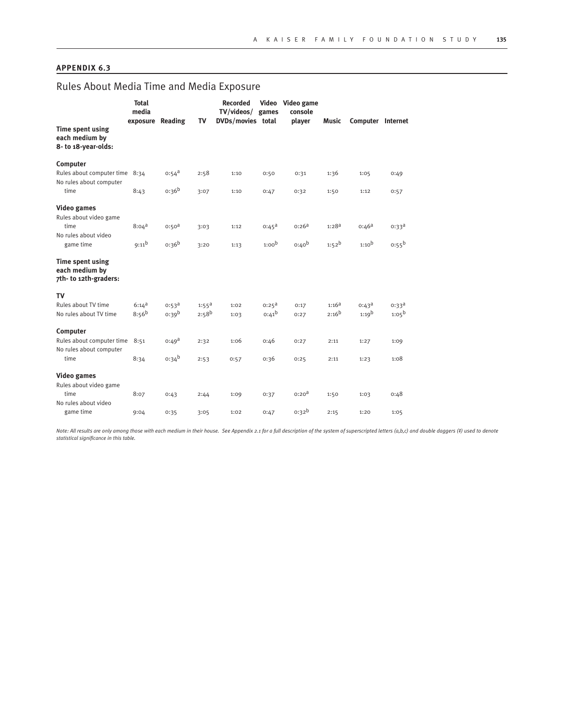### **APPENDIX 6.3**

# Rules About Media Time and Media Exposure

|                                                            | <b>Total</b><br>media<br>exposure Reading |                                        | TV                              | <b>Recorded</b><br>TV/videos/ games<br>DVDs/movies total |                                 | Video Video game<br>console<br>player | Music                  | Computer Internet               |                                 |
|------------------------------------------------------------|-------------------------------------------|----------------------------------------|---------------------------------|----------------------------------------------------------|---------------------------------|---------------------------------------|------------------------|---------------------------------|---------------------------------|
| Time spent using<br>each medium by<br>8- to 18-year-olds:  |                                           |                                        |                                 |                                                          |                                 |                                       |                        |                                 |                                 |
| Computer                                                   |                                           |                                        |                                 |                                                          |                                 |                                       |                        |                                 |                                 |
| Rules about computer time 8:34<br>No rules about computer  |                                           | $0:54^{\text{a}}$                      | 2:58                            | 1:10                                                     | 0:50                            | 0:31                                  | 1:36                   | 1:05                            | 0:49                            |
| time                                                       | 8:43                                      | $0:36^{b}$                             | 3:07                            | 1:10                                                     | 0:47                            | 0:32                                  | 1:50                   | 1:12                            | 0:57                            |
| <b>Video games</b><br>Rules about video game               |                                           |                                        |                                 |                                                          |                                 | $0:26^{a}$                            |                        |                                 |                                 |
| time<br>No rules about video                               | $8:04^{\text{a}}$                         | 0:50 <sup>d</sup>                      | 3:03                            | 1:12                                                     | $0:45^{\text{a}}$               |                                       | $1:28^{a}$             | $0:46^{a}$                      | $0:33^{\text{a}}$               |
| game time                                                  | $9:11^{b}$                                | 0:36 <sup>b</sup>                      | 3:20                            | 1:13                                                     | 1:00 <sup>b</sup>               | 0:40 <sup>b</sup>                     | $1:52^{b}$             | 1:10 <sup>b</sup>               | $0:55^{b}$                      |
| Time spent using<br>each medium by<br>7th-to 12th-graders: |                                           |                                        |                                 |                                                          |                                 |                                       |                        |                                 |                                 |
| TV                                                         |                                           |                                        |                                 |                                                          |                                 |                                       |                        |                                 |                                 |
| Rules about TV time<br>No rules about TV time              | $6:14^{\text{a}}$<br>$8:56^{b}$           | $0:53^{\text{a}}$<br>0:39 <sup>b</sup> | $1:55^{\text{a}}$<br>$2:58^{b}$ | 1:02<br>1:03                                             | $0:25^{\text{a}}$<br>$0:41^{b}$ | 0:17<br>0:27                          | $1:16^a$<br>$2:16^{b}$ | $0:43^{\text{a}}$<br>$1:19^{b}$ | $0:33^{\text{a}}$<br>$1:05^{b}$ |
| Computer                                                   |                                           |                                        |                                 |                                                          |                                 |                                       |                        |                                 |                                 |
| Rules about computer time<br>No rules about computer       | 8:51                                      | $0:49^{\text{a}}$                      | 2:32                            | 1:06                                                     | 0:46                            | 0:27                                  | 2:11                   | 1:27                            | 1:09                            |
| time                                                       | 8:34                                      | $0:34^{b}$                             | 2:53                            | 0:57                                                     | 0:36                            | 0:25                                  | 2:11                   | 1:23                            | 1:08                            |
| <b>Video games</b>                                         |                                           |                                        |                                 |                                                          |                                 |                                       |                        |                                 |                                 |
| Rules about video game<br>time                             | 8:07                                      | 0:43                                   | 2:44                            | 1:09                                                     | 0:37                            | 0:20 <sup>d</sup>                     | 1:50                   | 1:03                            | 0:48                            |
| No rules about video                                       |                                           |                                        |                                 |                                                          |                                 |                                       |                        |                                 |                                 |
| game time                                                  | 9:04                                      | 0:35                                   | 3:05                            | 1:02                                                     | 0:47                            | $0:32^{b}$                            | 2:15                   | 1:20                            | 1:05                            |

Note: All results are only among those with each medium in their house. See Appendix 2.1 for a full description of the system of superscripted letters (a,b,c) and double daggers (‡) used to denote<br>statistical significance